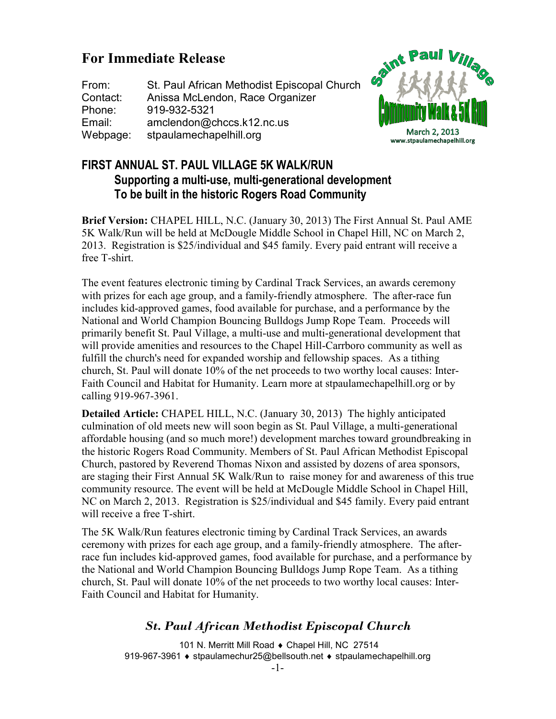# **For Immediate Release**

From: St. Paul African Methodist Episcopal Church Contact: Anissa McLendon, Race Organizer Phone: 919-932-5321 Email: amclendon@chccs.k12.nc.us Webpage: stpaulamechapelhill.org



### **FIRST ANNUAL ST. PAUL VILLAGE 5K WALK/RUN Supporting a multi-use, multi-generational development To be built in the historic Rogers Road Community**

**Brief Version:** CHAPEL HILL, N.C. (January 30, 2013) The First Annual St. Paul AME 5K Walk/Run will be held at McDougle Middle School in Chapel Hill, NC on March 2, 2013. Registration is \$25/individual and \$45 family. Every paid entrant will receive a free T-shirt.

The event features electronic timing by Cardinal Track Services, an awards ceremony with prizes for each age group, and a family-friendly atmosphere. The after-race fun includes kid-approved games, food available for purchase, and a performance by the National and World Champion Bouncing Bulldogs Jump Rope Team. Proceeds will primarily benefit St. Paul Village, a multi-use and multi-generational development that will provide amenities and resources to the Chapel Hill-Carrboro community as well as fulfill the church's need for expanded worship and fellowship spaces. As a tithing church, St. Paul will donate 10% of the net proceeds to two worthy local causes: Inter-Faith Council and Habitat for Humanity. Learn more at stpaulamechapelhill.org or by calling 919-967-3961.

**Detailed Article:** CHAPEL HILL, N.C. (January 30, 2013) The highly anticipated culmination of old meets new will soon begin as St. Paul Village, a multi-generational affordable housing (and so much more!) development marches toward groundbreaking in the historic Rogers Road Community. Members of St. Paul African Methodist Episcopal Church, pastored by Reverend Thomas Nixon and assisted by dozens of area sponsors, are staging their First Annual 5K Walk/Run to raise money for and awareness of this true community resource. The event will be held at McDougle Middle School in Chapel Hill, NC on March 2, 2013. Registration is \$25/individual and \$45 family. Every paid entrant will receive a free T-shirt.

The 5K Walk/Run features electronic timing by Cardinal Track Services, an awards ceremony with prizes for each age group, and a family-friendly atmosphere. The afterrace fun includes kid-approved games, food available for purchase, and a performance by the National and World Champion Bouncing Bulldogs Jump Rope Team. As a tithing church, St. Paul will donate 10% of the net proceeds to two worthy local causes: Inter-Faith Council and Habitat for Humanity.

### *St. Paul African Methodist Episcopal Church*

 101 N. Merritt Mill Road ♦ Chapel Hill, NC 27514 919-967-3961 ♦ stpaulamechur25@bellsouth.net ♦ stpaulamechapelhill.org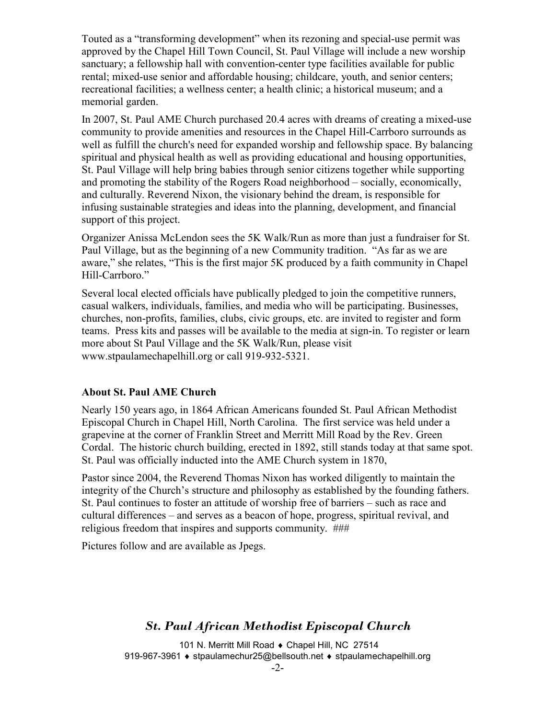Touted as a "transforming development" when its rezoning and special-use permit was approved by the Chapel Hill Town Council, St. Paul Village will include a new worship sanctuary; a fellowship hall with convention-center type facilities available for public rental; mixed-use senior and affordable housing; childcare, youth, and senior centers; recreational facilities; a wellness center; a health clinic; a historical museum; and a memorial garden.

In 2007, St. Paul AME Church purchased 20.4 acres with dreams of creating a mixed-use community to provide amenities and resources in the Chapel Hill-Carrboro surrounds as well as fulfill the church's need for expanded worship and fellowship space. By balancing spiritual and physical health as well as providing educational and housing opportunities, St. Paul Village will help bring babies through senior citizens together while supporting and promoting the stability of the Rogers Road neighborhood – socially, economically, and culturally. Reverend Nixon, the visionary behind the dream, is responsible for infusing sustainable strategies and ideas into the planning, development, and financial support of this project.

Organizer Anissa McLendon sees the 5K Walk/Run as more than just a fundraiser for St. Paul Village, but as the beginning of a new Community tradition. "As far as we are aware," she relates, "This is the first major 5K produced by a faith community in Chapel Hill-Carrboro."

Several local elected officials have publically pledged to join the competitive runners, casual walkers, individuals, families, and media who will be participating. Businesses, churches, non-profits, families, clubs, civic groups, etc. are invited to register and form teams. Press kits and passes will be available to the media at sign-in. To register or learn more about St Paul Village and the 5K Walk/Run, please visit www.stpaulamechapelhill.org or call 919-932-5321.

#### **About St. Paul AME Church**

Nearly 150 years ago, in 1864 African Americans founded St. Paul African Methodist Episcopal Church in Chapel Hill, North Carolina. The first service was held under a grapevine at the corner of Franklin Street and Merritt Mill Road by the Rev. Green Cordal. The historic church building, erected in 1892, still stands today at that same spot. St. Paul was officially inducted into the AME Church system in 1870,

Pastor since 2004, the Reverend Thomas Nixon has worked diligently to maintain the integrity of the Church's structure and philosophy as established by the founding fathers. St. Paul continues to foster an attitude of worship free of barriers – such as race and cultural differences – and serves as a beacon of hope, progress, spiritual revival, and religious freedom that inspires and supports community. ###

Pictures follow and are available as Jpegs.

## *St. Paul African Methodist Episcopal Church*

 101 N. Merritt Mill Road ♦ Chapel Hill, NC 27514 919-967-3961 ♦ stpaulamechur25@bellsouth.net ♦ stpaulamechapelhill.org